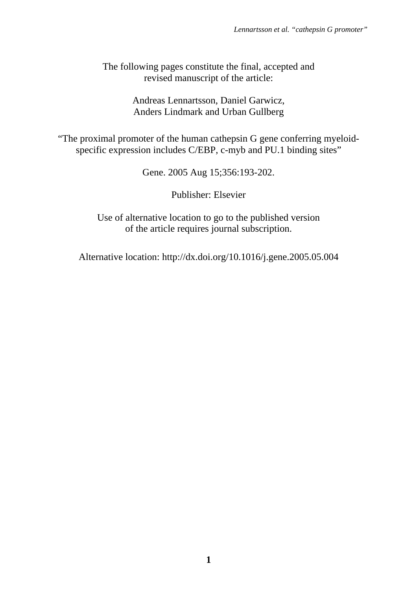The following pages constitute the final, accepted and revised manuscript of the article:

> Andreas Lennartsson, Daniel Garwicz, Anders Lindmark and Urban Gullberg

"The proximal promoter of the human cathepsin G gene conferring myeloidspecific expression includes C/EBP, c-myb and PU.1 binding sites"

Gene. 2005 Aug 15;356:193-202.

Publisher: Elsevier

Use of alternative location to go to the published version of the article requires journal subscription.

Alternative location: http://dx.doi.org/10.1016/j.gene.2005.05.004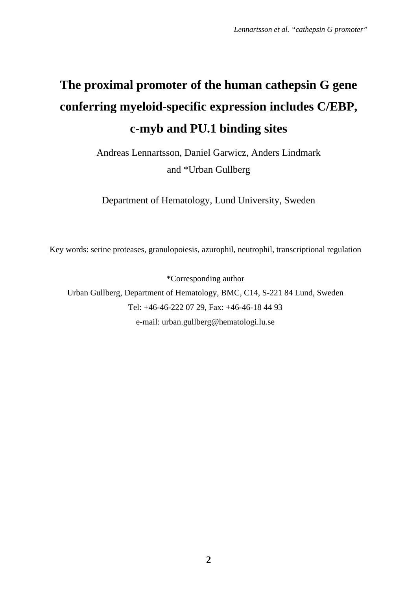# **The proximal promoter of the human cathepsin G gene conferring myeloid-specific expression includes C/EBP, c-myb and PU.1 binding sites**

Andreas Lennartsson, Daniel Garwicz, Anders Lindmark and \*Urban Gullberg

Department of Hematology, Lund University, Sweden

Key words: serine proteases, granulopoiesis, azurophil, neutrophil, transcriptional regulation

\*Corresponding author Urban Gullberg, Department of Hematology, BMC, C14, S-221 84 Lund, Sweden Tel: +46-46-222 07 29, Fax: +46-46-18 44 93 e-mail: urban.gullberg@hematologi.lu.se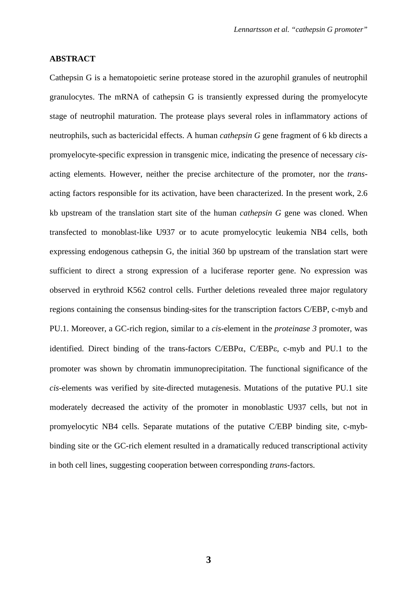#### **ABSTRACT**

Cathepsin G is a hematopoietic serine protease stored in the azurophil granules of neutrophil granulocytes. The mRNA of cathepsin G is transiently expressed during the promyelocyte stage of neutrophil maturation. The protease plays several roles in inflammatory actions of neutrophils, such as bactericidal effects. A human *cathepsin G* gene fragment of 6 kb directs a promyelocyte-specific expression in transgenic mice, indicating the presence of necessary *cis*acting elements. However, neither the precise architecture of the promoter, nor the *trans*acting factors responsible for its activation, have been characterized. In the present work, 2.6 kb upstream of the translation start site of the human *cathepsin G* gene was cloned. When transfected to monoblast-like U937 or to acute promyelocytic leukemia NB4 cells, both expressing endogenous cathepsin G, the initial 360 bp upstream of the translation start were sufficient to direct a strong expression of a luciferase reporter gene. No expression was observed in erythroid K562 control cells. Further deletions revealed three major regulatory regions containing the consensus binding-sites for the transcription factors C/EBP, c-myb and PU.1. Moreover, a GC-rich region, similar to a *cis-*element in the *proteinase 3* promoter, was identified. Direct binding of the trans-factors  $C/EBP\alpha$ ,  $C/EBP\epsilon$ , c-myb and PU.1 to the promoter was shown by chromatin immunoprecipitation. The functional significance of the *cis-*elements was verified by site-directed mutagenesis. Mutations of the putative PU.1 site moderately decreased the activity of the promoter in monoblastic U937 cells, but not in promyelocytic NB4 cells. Separate mutations of the putative C/EBP binding site, c-mybbinding site or the GC-rich element resulted in a dramatically reduced transcriptional activity in both cell lines, suggesting cooperation between corresponding *trans*-factors.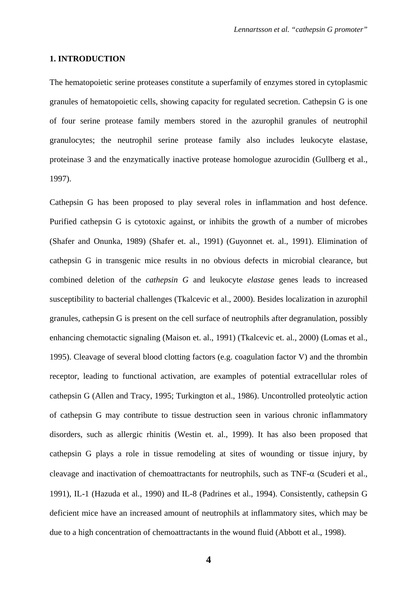#### **1. INTRODUCTION**

The hematopoietic serine proteases constitute a superfamily of enzymes stored in cytoplasmic granules of hematopoietic cells, showing capacity for regulated secretion. Cathepsin G is one of four serine protease family members stored in the azurophil granules of neutrophil granulocytes; the neutrophil serine protease family also includes leukocyte elastase, proteinase 3 and the enzymatically inactive protease homologue azurocidin (Gullberg et al., 1997).

Cathepsin G has been proposed to play several roles in inflammation and host defence. Purified cathepsin G is cytotoxic against, or inhibits the growth of a number of microbes (Shafer and Onunka, 1989) (Shafer et. al., 1991) (Guyonnet et. al., 1991). Elimination of cathepsin G in transgenic mice results in no obvious defects in microbial clearance, but combined deletion of the *cathepsin G* and leukocyte *elastase* genes leads to increased susceptibility to bacterial challenges (Tkalcevic et al., 2000). Besides localization in azurophil granules, cathepsin G is present on the cell surface of neutrophils after degranulation, possibly enhancing chemotactic signaling (Maison et. al., 1991) (Tkalcevic et. al., 2000) (Lomas et al., 1995). Cleavage of several blood clotting factors (e.g. coagulation factor V) and the thrombin receptor, leading to functional activation, are examples of potential extracellular roles of cathepsin G (Allen and Tracy, 1995; Turkington et al., 1986). Uncontrolled proteolytic action of cathepsin G may contribute to tissue destruction seen in various chronic inflammatory disorders, such as allergic rhinitis (Westin et. al., 1999). It has also been proposed that cathepsin G plays a role in tissue remodeling at sites of wounding or tissue injury, by cleavage and inactivation of chemoattractants for neutrophils, such as TNF- $\alpha$  (Scuderi et al., 1991), IL-1 (Hazuda et al., 1990) and IL-8 (Padrines et al., 1994). Consistently, cathepsin G deficient mice have an increased amount of neutrophils at inflammatory sites, which may be due to a high concentration of chemoattractants in the wound fluid (Abbott et al., 1998).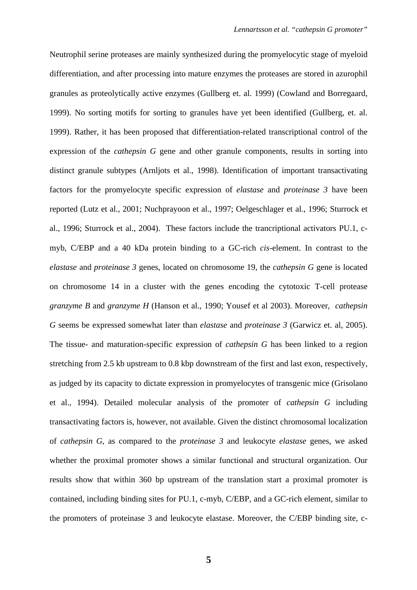Neutrophil serine proteases are mainly synthesized during the promyelocytic stage of myeloid differentiation, and after processing into mature enzymes the proteases are stored in azurophil granules as proteolytically active enzymes (Gullberg et. al. 1999) (Cowland and Borregaard, 1999). No sorting motifs for sorting to granules have yet been identified (Gullberg, et. al. 1999). Rather, it has been proposed that differentiation-related transcriptional control of the expression of the *cathepsin G* gene and other granule components, results in sorting into distinct granule subtypes (Arnljots et al., 1998). Identification of important transactivating factors for the promyelocyte specific expression of *elastase* and *proteinase 3* have been reported (Lutz et al., 2001; Nuchprayoon et al., 1997; Oelgeschlager et al., 1996; Sturrock et al., 1996; Sturrock et al., 2004). These factors include the trancriptional activators PU.1, cmyb, C/EBP and a 40 kDa protein binding to a GC-rich *cis-*element. In contrast to the *elastase* and *proteinase 3* genes, located on chromosome 19, the *cathepsin G* gene is located on chromosome 14 in a cluster with the genes encoding the cytotoxic T-cell protease *granzyme B* and *granzyme H* (Hanson et al., 1990; Yousef et al 2003). Moreover, *cathepsin G* seems be expressed somewhat later than *elastase* and *proteinase 3* (Garwicz et. al, 2005). The tissue- and maturation-specific expression of *cathepsin G* has been linked to a region stretching from 2.5 kb upstream to 0.8 kbp downstream of the first and last exon, respectively, as judged by its capacity to dictate expression in promyelocytes of transgenic mice (Grisolano et al., 1994). Detailed molecular analysis of the promoter of *cathepsin G* including transactivating factors is, however, not available. Given the distinct chromosomal localization of *cathepsin G*, as compared to the *proteinase 3* and leukocyte *elastase* genes, we asked whether the proximal promoter shows a similar functional and structural organization. Our results show that within 360 bp upstream of the translation start a proximal promoter is contained, including binding sites for PU.1, c-myb, C/EBP, and a GC-rich element, similar to the promoters of proteinase 3 and leukocyte elastase. Moreover, the C/EBP binding site, c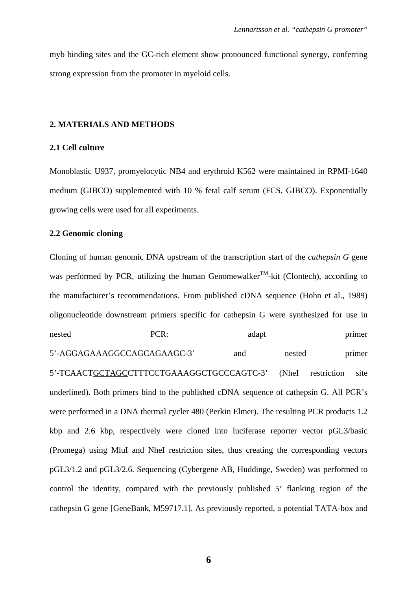myb binding sites and the GC-rich element show pronounced functional synergy, conferring strong expression from the promoter in myeloid cells.

#### **2. MATERIALS AND METHODS**

#### **2.1 Cell culture**

Monoblastic U937, promyelocytic NB4 and erythroid K562 were maintained in RPMI-1640 medium (GIBCO) supplemented with 10 % fetal calf serum (FCS, GIBCO). Exponentially growing cells were used for all experiments.

#### **2.2 Genomic cloning**

Cloning of human genomic DNA upstream of the transcription start of the *cathepsin G* gene was performed by PCR, utilizing the human Genomewalker<sup>TM</sup>-kit (Clontech), according to the manufacturer's recommendations. From published cDNA sequence (Hohn et al., 1989) oligonucleotide downstream primers specific for cathepsin G were synthesized for use in nested PCR: adapt primer 5'-AGGAGAAAGGCCAGCAGAAGC-3' and nested primer 5'-TCAACTGCTAGCCTTTCCTGAAAGGCTGCCCAGTC-3' (NheI restriction site underlined). Both primers bind to the published cDNA sequence of cathepsin G. All PCR's were performed in a DNA thermal cycler 480 (Perkin Elmer). The resulting PCR products 1.2 kbp and 2.6 kbp, respectively were cloned into luciferase reporter vector pGL3/basic (Promega) using MluI and NheI restriction sites, thus creating the corresponding vectors pGL3/1.2 and pGL3/2.6. Sequencing (Cybergene AB, Huddinge, Sweden) was performed to control the identity, compared with the previously published 5' flanking region of the cathepsin G gene [GeneBank, M59717.1]. As previously reported, a potential TATA-box and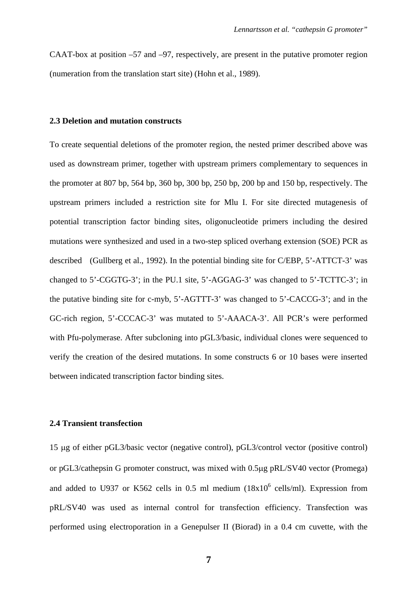CAAT-box at position –57 and –97, respectively, are present in the putative promoter region (numeration from the translation start site) (Hohn et al., 1989).

#### **2.3 Deletion and mutation constructs**

To create sequential deletions of the promoter region, the nested primer described above was used as downstream primer, together with upstream primers complementary to sequences in the promoter at 807 bp, 564 bp, 360 bp, 300 bp, 250 bp, 200 bp and 150 bp, respectively. The upstream primers included a restriction site for Mlu I. For site directed mutagenesis of potential transcription factor binding sites, oligonucleotide primers including the desired mutations were synthesized and used in a two-step spliced overhang extension (SOE) PCR as described (Gullberg et al., 1992). In the potential binding site for C/EBP, 5'-ATTCT-3' was changed to 5'-CGGTG-3'; in the PU.1 site, 5'-AGGAG-3' was changed to 5'-TCTTC-3'; in the putative binding site for c-myb, 5'-AGTTT-3' was changed to 5'-CACCG-3'; and in the GC-rich region, 5'-CCCAC-3' was mutated to 5'-AAACA-3'. All PCR's were performed with Pfu-polymerase. After subcloning into pGL3/basic, individual clones were sequenced to verify the creation of the desired mutations. In some constructs 6 or 10 bases were inserted between indicated transcription factor binding sites.

#### **2.4 Transient transfection**

15 µg of either pGL3/basic vector (negative control), pGL3/control vector (positive control) or pGL3/cathepsin G promoter construct, was mixed with 0.5µg pRL/SV40 vector (Promega) and added to U937 or K562 cells in 0.5 ml medium  $(18x10^6 \text{ cells/ml})$ . Expression from pRL/SV40 was used as internal control for transfection efficiency. Transfection was performed using electroporation in a Genepulser II (Biorad) in a 0.4 cm cuvette, with the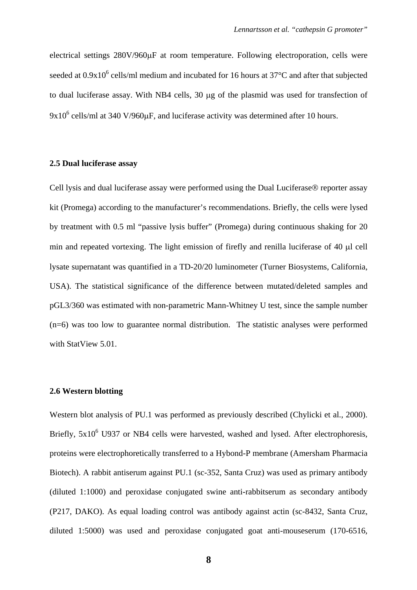electrical settings 280V/960µF at room temperature. Following electroporation, cells were seeded at  $0.9x10^6$  cells/ml medium and incubated for 16 hours at  $37^{\circ}$ C and after that subjected to dual luciferase assay. With NB4 cells, 30 µg of the plasmid was used for transfection of  $9x10^6$  cells/ml at 340 V/960 $\mu$ F, and luciferase activity was determined after 10 hours.

#### **2.5 Dual luciferase assay**

Cell lysis and dual luciferase assay were performed using the Dual Luciferase® reporter assay kit (Promega) according to the manufacturer's recommendations. Briefly, the cells were lysed by treatment with 0.5 ml "passive lysis buffer" (Promega) during continuous shaking for 20 min and repeated vortexing. The light emission of firefly and renilla luciferase of 40 µl cell lysate supernatant was quantified in a TD-20/20 luminometer (Turner Biosystems, California, USA). The statistical significance of the difference between mutated/deleted samples and pGL3/360 was estimated with non-parametric Mann-Whitney U test, since the sample number (n=6) was too low to guarantee normal distribution. The statistic analyses were performed with StatView 5.01.

#### **2.6 Western blotting**

Western blot analysis of PU.1 was performed as previously described (Chylicki et al., 2000). Briefly,  $5x10^6$  U937 or NB4 cells were harvested, washed and lysed. After electrophoresis, proteins were electrophoretically transferred to a Hybond-P membrane (Amersham Pharmacia Biotech). A rabbit antiserum against PU.1 (sc-352, Santa Cruz) was used as primary antibody (diluted 1:1000) and peroxidase conjugated swine anti-rabbitserum as secondary antibody (P217, DAKO). As equal loading control was antibody against actin (sc-8432, Santa Cruz, diluted 1:5000) was used and peroxidase conjugated goat anti-mouseserum (170-6516,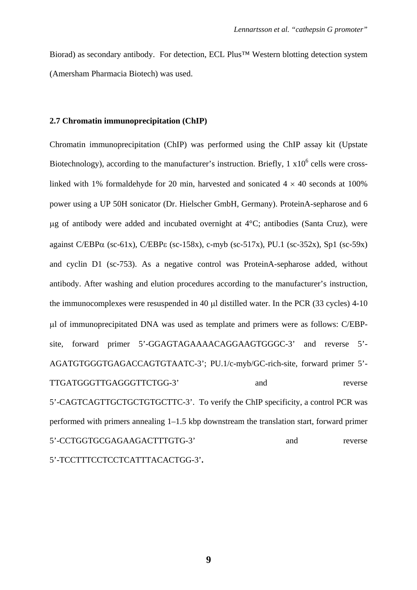Biorad) as secondary antibody. For detection, ECL Plus™ Western blotting detection system (Amersham Pharmacia Biotech) was used.

#### **2.7 Chromatin immunoprecipitation (ChIP)**

Chromatin immunoprecipitation (ChIP) was performed using the ChIP assay kit (Upstate Biotechnology), according to the manufacturer's instruction. Briefly,  $1 \times 10^6$  cells were crosslinked with 1% formaldehyde for 20 min, harvested and sonicated  $4 \times 40$  seconds at 100% power using a UP 50H sonicator (Dr. Hielscher GmbH, Germany). ProteinA-sepharose and 6  $\mu$ g of antibody were added and incubated overnight at 4 $\rm ^{o}C$ ; antibodies (Santa Cruz), were against C/EBP $\alpha$  (sc-61x), C/EBP $\varepsilon$  (sc-158x), c-myb (sc-517x), PU.1 (sc-352x), Sp1 (sc-59x) and cyclin D1 (sc-753). As a negative control was ProteinA-sepharose added, without antibody. After washing and elution procedures according to the manufacturer's instruction, the immunocomplexes were resuspended in 40 µl distilled water. In the PCR (33 cycles) 4-10 µl of immunoprecipitated DNA was used as template and primers were as follows: C/EBPsite, forward primer 5'-GGAGTAGAAAACAGGAAGTGGGC-3' and reverse 5'- AGATGTGGGTGAGACCAGTGTAATC-3'; PU.1/c-myb/GC-rich-site, forward primer 5'- TTGATGGGTTGAGGGTTCTGG-3' and reverse 5'-CAGTCAGTTGCTGCTGTGCTTC-3'. To verify the ChIP specificity, a control PCR was performed with primers annealing 1–1.5 kbp downstream the translation start, forward primer 5'-CCTGGTGCGAGAAGACTTTGTG-3' and reverse 5'-TCCTTTCCTCCTCATTTACACTGG-3'**.** 

**9**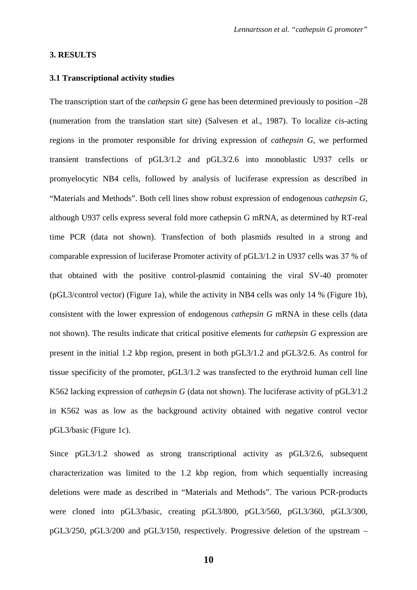#### **3. RESULTS**

#### **3.1 Transcriptional activity studies**

The transcription start of the *cathepsin G* gene has been determined previously to position –28 (numeration from the translation start site) (Salvesen et al., 1987). To localize *cis*-acting regions in the promoter responsible for driving expression of *cathepsin G*, we performed transient transfections of pGL3/1.2 and pGL3/2.6 into monoblastic U937 cells or promyelocytic NB4 cells, followed by analysis of luciferase expression as described in "Materials and Methods". Both cell lines show robust expression of endogenous *cathepsin G,* although U937 cells express several fold more cathepsin G mRNA, as determined by RT-real time PCR (data not shown). Transfection of both plasmids resulted in a strong and comparable expression of luciferase Promoter activity of pGL3/1.2 in U937 cells was 37 % of that obtained with the positive control-plasmid containing the viral SV-40 promoter (pGL3/control vector) (Figure 1a), while the activity in NB4 cells was only 14 % (Figure 1b), consistent with the lower expression of endogenous *cathepsin G* mRNA in these cells (data not shown). The results indicate that critical positive elements for *cathepsin G* expression are present in the initial 1.2 kbp region, present in both pGL3/1.2 and pGL3/2.6. As control for tissue specificity of the promoter, pGL3/1.2 was transfected to the erythroid human cell line K562 lacking expression of *cathepsin G* (data not shown). The luciferase activity of pGL3/1.2 in K562 was as low as the background activity obtained with negative control vector pGL3/basic (Figure 1c).

Since pGL3/1.2 showed as strong transcriptional activity as pGL3/2.6, subsequent characterization was limited to the 1.2 kbp region, from which sequentially increasing deletions were made as described in "Materials and Methods". The various PCR-products were cloned into pGL3/basic, creating pGL3/800, pGL3/560, pGL3/360, pGL3/300, pGL3/250, pGL3/200 and pGL3/150, respectively. Progressive deletion of the upstream –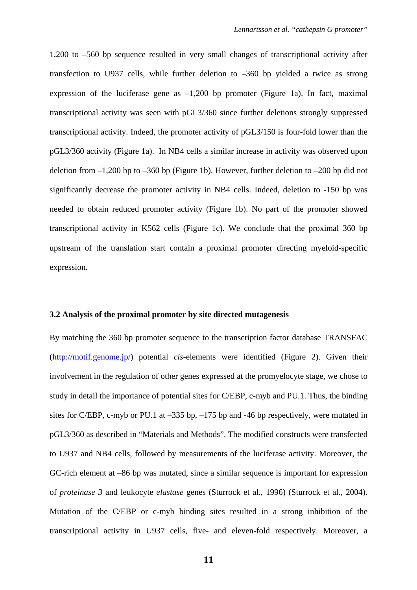1,200 to –560 bp sequence resulted in very small changes of transcriptional activity after transfection to U937 cells, while further deletion to –360 bp yielded a twice as strong expression of the luciferase gene as  $-1,200$  bp promoter (Figure 1a). In fact, maximal transcriptional activity was seen with pGL3/360 since further deletions strongly suppressed transcriptional activity. Indeed, the promoter activity of pGL3/150 is four-fold lower than the pGL3/360 activity (Figure 1a). In NB4 cells a similar increase in activity was observed upon deletion from  $-1,200$  bp to  $-360$  bp (Figure 1b). However, further deletion to  $-200$  bp did not significantly decrease the promoter activity in NB4 cells. Indeed, deletion to -150 bp was needed to obtain reduced promoter activity (Figure 1b). No part of the promoter showed transcriptional activity in K562 cells (Figure 1c). We conclude that the proximal 360 bp upstream of the translation start contain a proximal promoter directing myeloid-specific expression.

#### **3.2 Analysis of the proximal promoter by site directed mutagenesis**

By matching the 360 bp promoter sequence to the transcription factor database TRANSFAC (http://motif.genome.jp/) potential *cis*-elements were identified (Figure 2). Given their involvement in the regulation of other genes expressed at the promyelocyte stage, we chose to study in detail the importance of potential sites for C/EBP, c-myb and PU.1. Thus, the binding sites for C/EBP, c-myb or PU.1 at –335 bp, –175 bp and -46 bp respectively, were mutated in pGL3/360 as described in "Materials and Methods". The modified constructs were transfected to U937 and NB4 cells, followed by measurements of the luciferase activity. Moreover, the GC-rich element at –86 bp was mutated, since a similar sequence is important for expression of *proteinase 3* and leukocyte *elastase* genes (Sturrock et al., 1996) (Sturrock et al., 2004). Mutation of the C/EBP or c-myb binding sites resulted in a strong inhibition of the transcriptional activity in U937 cells, five- and eleven-fold respectively. Moreover, a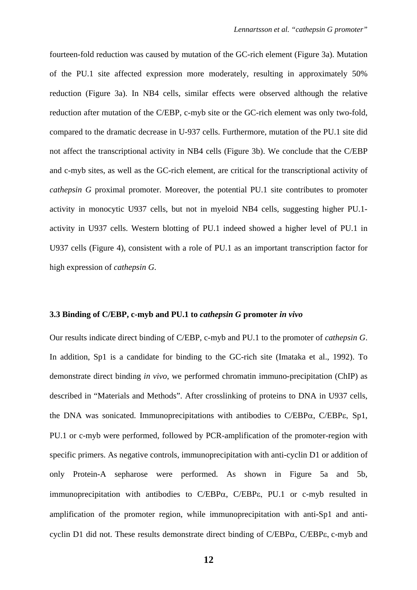fourteen-fold reduction was caused by mutation of the GC-rich element (Figure 3a). Mutation of the PU.1 site affected expression more moderately, resulting in approximately 50% reduction (Figure 3a). In NB4 cells, similar effects were observed although the relative reduction after mutation of the C/EBP, c-myb site or the GC-rich element was only two-fold, compared to the dramatic decrease in U-937 cells. Furthermore, mutation of the PU.1 site did not affect the transcriptional activity in NB4 cells (Figure 3b). We conclude that the C/EBP and c-myb sites, as well as the GC-rich element, are critical for the transcriptional activity of *cathepsin G* proximal promoter. Moreover, the potential PU.1 site contributes to promoter activity in monocytic U937 cells, but not in myeloid NB4 cells, suggesting higher PU.1 activity in U937 cells. Western blotting of PU.1 indeed showed a higher level of PU.1 in U937 cells (Figure 4), consistent with a role of PU.1 as an important transcription factor for high expression of *cathepsin G*.

#### **3.3 Binding of C/EBP, c-myb and PU.1 to** *cathepsin G* **promoter** *in vivo*

Our results indicate direct binding of C/EBP, c-myb and PU.1 to the promoter of *cathepsin G*. In addition, Sp1 is a candidate for binding to the GC-rich site (Imataka et al., 1992). To demonstrate direct binding *in vivo*, we performed chromatin immuno-precipitation (ChIP) as described in "Materials and Methods". After crosslinking of proteins to DNA in U937 cells, the DNA was sonicated. Immunoprecipitations with antibodies to C/EBPα, C/EBPε, Sp1, PU.1 or c-myb were performed, followed by PCR-amplification of the promoter-region with specific primers. As negative controls, immunoprecipitation with anti-cyclin D1 or addition of only Protein-A sepharose were performed. As shown in Figure 5a and 5b, immunoprecipitation with antibodies to C/EBPα, C/EBPε, PU.1 or c-myb resulted in amplification of the promoter region, while immunoprecipitation with anti-Sp1 and anticyclin D1 did not. These results demonstrate direct binding of C/EBPα, C/EBPε, c-myb and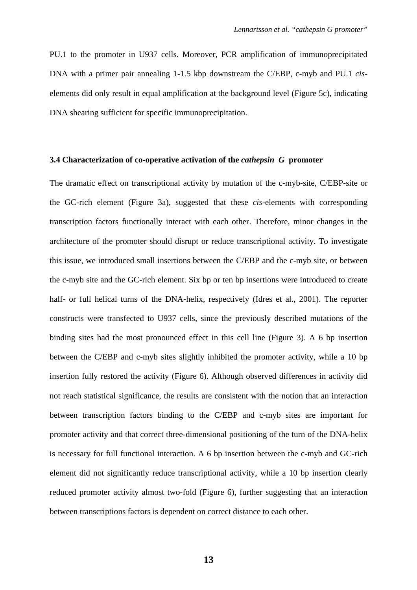PU.1 to the promoter in U937 cells. Moreover, PCR amplification of immunoprecipitated DNA with a primer pair annealing 1-1.5 kbp downstream the C/EBP, c-myb and PU.1 *cis*elements did only result in equal amplification at the background level (Figure 5c), indicating DNA shearing sufficient for specific immunoprecipitation.

#### **3.4 Characterization of co-operative activation of the** *cathepsin G* **promoter**

The dramatic effect on transcriptional activity by mutation of the c-myb-site, C/EBP-site or the GC-rich element (Figure 3a), suggested that these *cis*-elements with corresponding transcription factors functionally interact with each other. Therefore, minor changes in the architecture of the promoter should disrupt or reduce transcriptional activity. To investigate this issue, we introduced small insertions between the C/EBP and the c-myb site, or between the c-myb site and the GC-rich element. Six bp or ten bp insertions were introduced to create half- or full helical turns of the DNA-helix, respectively (Idres et al., 2001). The reporter constructs were transfected to U937 cells, since the previously described mutations of the binding sites had the most pronounced effect in this cell line (Figure 3). A 6 bp insertion between the C/EBP and c-myb sites slightly inhibited the promoter activity, while a 10 bp insertion fully restored the activity (Figure 6). Although observed differences in activity did not reach statistical significance, the results are consistent with the notion that an interaction between transcription factors binding to the C/EBP and c-myb sites are important for promoter activity and that correct three-dimensional positioning of the turn of the DNA-helix is necessary for full functional interaction. A 6 bp insertion between the c-myb and GC-rich element did not significantly reduce transcriptional activity, while a 10 bp insertion clearly reduced promoter activity almost two-fold (Figure 6), further suggesting that an interaction between transcriptions factors is dependent on correct distance to each other.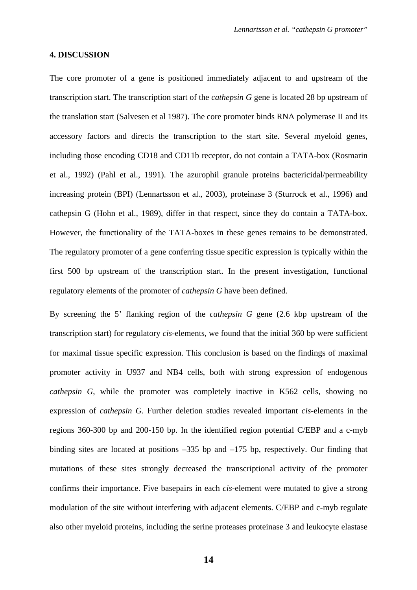#### **4. DISCUSSION**

The core promoter of a gene is positioned immediately adjacent to and upstream of the transcription start. The transcription start of the *cathepsin G* gene is located 28 bp upstream of the translation start (Salvesen et al 1987). The core promoter binds RNA polymerase II and its accessory factors and directs the transcription to the start site. Several myeloid genes, including those encoding CD18 and CD11b receptor, do not contain a TATA-box (Rosmarin et al., 1992) (Pahl et al., 1991). The azurophil granule proteins bactericidal/permeability increasing protein (BPI) (Lennartsson et al., 2003), proteinase 3 (Sturrock et al., 1996) and cathepsin G (Hohn et al., 1989), differ in that respect, since they do contain a TATA-box. However, the functionality of the TATA-boxes in these genes remains to be demonstrated. The regulatory promoter of a gene conferring tissue specific expression is typically within the first 500 bp upstream of the transcription start. In the present investigation, functional regulatory elements of the promoter of *cathepsin G* have been defined.

By screening the 5' flanking region of the *cathepsin G* gene (2.6 kbp upstream of the transcription start) for regulatory *cis*-elements, we found that the initial 360 bp were sufficient for maximal tissue specific expression. This conclusion is based on the findings of maximal promoter activity in U937 and NB4 cells, both with strong expression of endogenous *cathepsin G*, while the promoter was completely inactive in K562 cells, showing no expression of *cathepsin G*. Further deletion studies revealed important *cis*-elements in the regions 360-300 bp and 200-150 bp. In the identified region potential C/EBP and a c-myb binding sites are located at positions –335 bp and –175 bp, respectively. Our finding that mutations of these sites strongly decreased the transcriptional activity of the promoter confirms their importance. Five basepairs in each *cis*-element were mutated to give a strong modulation of the site without interfering with adjacent elements. C/EBP and c-myb regulate also other myeloid proteins, including the serine proteases proteinase 3 and leukocyte elastase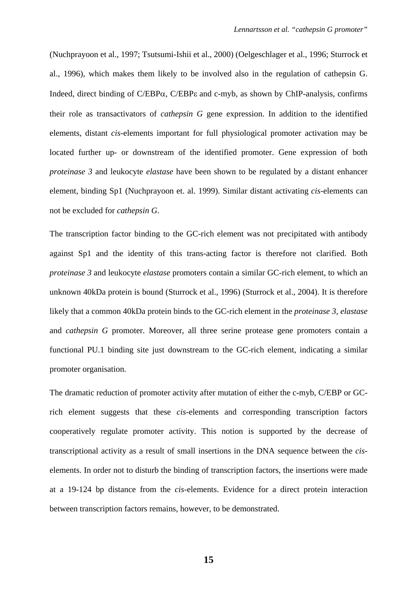(Nuchprayoon et al., 1997; Tsutsumi-Ishii et al., 2000) (Oelgeschlager et al., 1996; Sturrock et al., 1996), which makes them likely to be involved also in the regulation of cathepsin G. Indeed, direct binding of C/EBPα, C/EBPε and c-myb, as shown by ChIP-analysis, confirms their role as transactivators of *cathepsin G* gene expression. In addition to the identified elements, distant *cis-*elements important for full physiological promoter activation may be located further up- or downstream of the identified promoter. Gene expression of both *proteinase 3* and leukocyte *elastase* have been shown to be regulated by a distant enhancer element, binding Sp1 (Nuchprayoon et. al. 1999). Similar distant activating *cis-*elements can not be excluded for *cathepsin G*.

The transcription factor binding to the GC-rich element was not precipitated with antibody against Sp1 and the identity of this trans-acting factor is therefore not clarified. Both *proteinase 3* and leukocyte *elastase* promoters contain a similar GC-rich element, to which an unknown 40kDa protein is bound (Sturrock et al., 1996) (Sturrock et al., 2004). It is therefore likely that a common 40kDa protein binds to the GC-rich element in the *proteinase 3, elastase* and *cathepsin G* promoter. Moreover, all three serine protease gene promoters contain a functional PU.1 binding site just downstream to the GC-rich element, indicating a similar promoter organisation.

The dramatic reduction of promoter activity after mutation of either the c-myb, C/EBP or GCrich element suggests that these *cis*-elements and corresponding transcription factors cooperatively regulate promoter activity. This notion is supported by the decrease of transcriptional activity as a result of small insertions in the DNA sequence between the *cis*elements. In order not to disturb the binding of transcription factors, the insertions were made at a 19-124 bp distance from the *cis*-elements. Evidence for a direct protein interaction between transcription factors remains, however, to be demonstrated.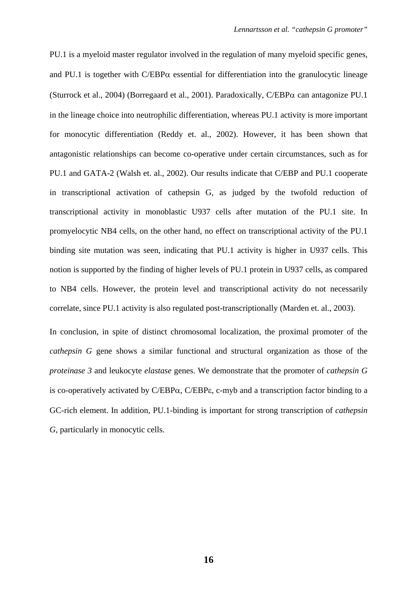PU.1 is a myeloid master regulator involved in the regulation of many myeloid specific genes, and PU.1 is together with  $C/EBP\alpha$  essential for differentiation into the granulocytic lineage (Sturrock et al., 2004) (Borregaard et al., 2001). Paradoxically, C/EBPα can antagonize PU.1 in the lineage choice into neutrophilic differentiation, whereas PU.1 activity is more important for monocytic differentiation (Reddy et. al., 2002). However, it has been shown that antagonistic relationships can become co-operative under certain circumstances, such as for PU.1 and GATA-2 (Walsh et. al., 2002). Our results indicate that C/EBP and PU.1 cooperate in transcriptional activation of cathepsin G, as judged by the twofold reduction of transcriptional activity in monoblastic U937 cells after mutation of the PU.1 site. In promyelocytic NB4 cells, on the other hand, no effect on transcriptional activity of the PU.1 binding site mutation was seen, indicating that PU.1 activity is higher in U937 cells. This notion is supported by the finding of higher levels of PU.1 protein in U937 cells, as compared to NB4 cells. However, the protein level and transcriptional activity do not necessarily correlate, since PU.1 activity is also regulated post-transcriptionally (Marden et. al., 2003).

In conclusion, in spite of distinct chromosomal localization, the proximal promoter of the *cathepsin G* gene shows a similar functional and structural organization as those of the *proteinase 3* and leukocyte *elastase* genes. We demonstrate that the promoter of *cathepsin G* is co-operatively activated by C/EBPα, C/EBPε, c-myb and a transcription factor binding to a GC-rich element. In addition, PU.1-binding is important for strong transcription of *cathepsin G*, particularly in monocytic cells.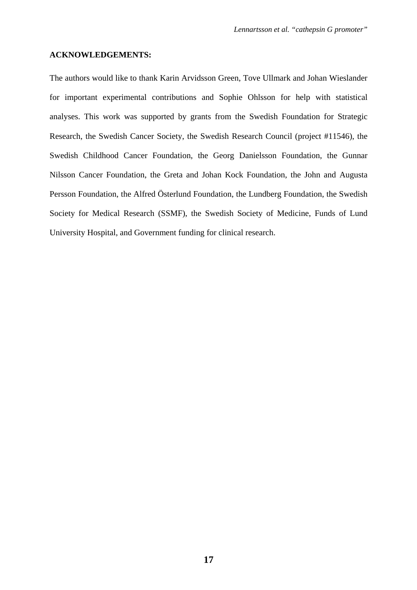#### **ACKNOWLEDGEMENTS:**

The authors would like to thank Karin Arvidsson Green, Tove Ullmark and Johan Wieslander for important experimental contributions and Sophie Ohlsson for help with statistical analyses. This work was supported by grants from the Swedish Foundation for Strategic Research, the Swedish Cancer Society, the Swedish Research Council (project #11546), the Swedish Childhood Cancer Foundation, the Georg Danielsson Foundation, the Gunnar Nilsson Cancer Foundation, the Greta and Johan Kock Foundation, the John and Augusta Persson Foundation, the Alfred Österlund Foundation, the Lundberg Foundation, the Swedish Society for Medical Research (SSMF), the Swedish Society of Medicine, Funds of Lund University Hospital, and Government funding for clinical research.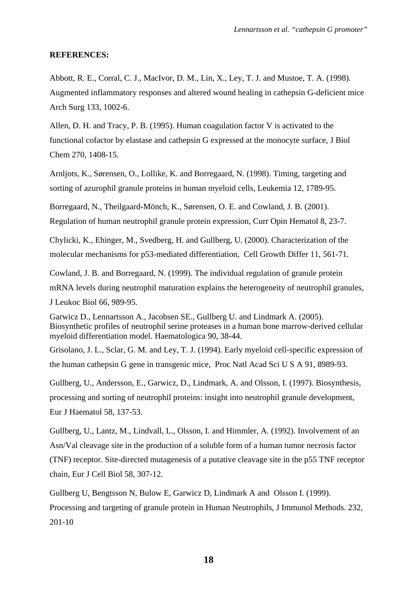#### **REFERENCES:**

Abbott, R. E., Corral, C. J., MacIvor, D. M., Lin, X., Ley, T. J. and Mustoe, T. A. (1998). Augmented inflammatory responses and altered wound healing in cathepsin G-deficient mice Arch Surg 133, 1002-6.

Allen, D. H. and Tracy, P. B. (1995). Human coagulation factor V is activated to the functional cofactor by elastase and cathepsin G expressed at the monocyte surface, J Biol Chem 270, 1408-15.

Arnljots, K., Sørensen, O., Lollike, K. and Borregaard, N. (1998). Timing, targeting and sorting of azurophil granule proteins in human myeloid cells, Leukemia 12, 1789-95.

Borregaard, N., Theilgaard-Mönch, K., Sørensen, O. E. and Cowland, J. B. (2001). Regulation of human neutrophil granule protein expression, Curr Opin Hematol 8, 23-7.

Chylicki, K., Ehinger, M., Svedberg, H. and Gullberg, U. (2000). Characterization of the molecular mechanisms for p53-mediated differentiation, Cell Growth Differ 11, 561-71.

Cowland, J. B. and Borregaard, N. (1999). The individual regulation of granule protein mRNA levels during neutrophil maturation explains the heterogeneity of neutrophil granules, J Leukoc Biol 66, 989-95.

Garwicz D., Lennartsson A., Jacobsen SE., Gullberg U. and Lindmark A. (2005). Biosynthetic profiles of neutrophil serine proteases in a human bone marrow-derived cellular myeloid differentiation model. Haematologica 90, 38-44.

Grisolano, J. L., Sclar, G. M. and Ley, T. J. (1994). Early myeloid cell-specific expression of the human cathepsin G gene in transgenic mice, Proc Natl Acad Sci U S A 91, 8989-93.

Gullberg, U., Andersson, E., Garwicz, D., Lindmark, A. and Olsson, I. (1997). Biosynthesis, processing and sorting of neutrophil proteins: insight into neutrophil granule development, Eur J Haematol 58, 137-53.

Gullberg, U., Lantz, M., Lindvall, L., Olsson, I. and Himmler, A. (1992). Involvement of an Asn/Val cleavage site in the production of a soluble form of a human tumor necrosis factor (TNF) receptor. Site-directed mutagenesis of a putative cleavage site in the p55 TNF receptor chain, Eur J Cell Biol 58, 307-12.

Gullberg U, Bengtsson N, Bulow E, Garwicz D, Lindmark A and Olsson I. (1999). Processing and targeting of granule protein in Human Neutrophils, J Immunol Methods. 232, 201-10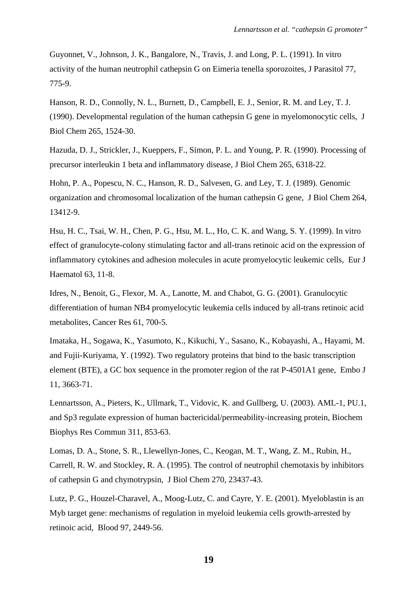Guyonnet, V., Johnson, J. K., Bangalore, N., Travis, J. and Long, P. L. (1991). In vitro activity of the human neutrophil cathepsin G on Eimeria tenella sporozoites, J Parasitol 77, 775-9.

Hanson, R. D., Connolly, N. L., Burnett, D., Campbell, E. J., Senior, R. M. and Ley, T. J. (1990). Developmental regulation of the human cathepsin G gene in myelomonocytic cells, J Biol Chem 265, 1524-30.

Hazuda, D. J., Strickler, J., Kueppers, F., Simon, P. L. and Young, P. R. (1990). Processing of precursor interleukin 1 beta and inflammatory disease, J Biol Chem 265, 6318-22.

Hohn, P. A., Popescu, N. C., Hanson, R. D., Salvesen, G. and Ley, T. J. (1989). Genomic organization and chromosomal localization of the human cathepsin G gene, J Biol Chem 264, 13412-9.

Hsu, H. C., Tsai, W. H., Chen, P. G., Hsu, M. L., Ho, C. K. and Wang, S. Y. (1999). In vitro effect of granulocyte-colony stimulating factor and all-trans retinoic acid on the expression of inflammatory cytokines and adhesion molecules in acute promyelocytic leukemic cells, Eur J Haematol 63, 11-8.

Idres, N., Benoit, G., Flexor, M. A., Lanotte, M. and Chabot, G. G. (2001). Granulocytic differentiation of human NB4 promyelocytic leukemia cells induced by all-trans retinoic acid metabolites, Cancer Res 61, 700-5.

Imataka, H., Sogawa, K., Yasumoto, K., Kikuchi, Y., Sasano, K., Kobayashi, A., Hayami, M. and Fujii-Kuriyama, Y. (1992). Two regulatory proteins that bind to the basic transcription element (BTE), a GC box sequence in the promoter region of the rat P-4501A1 gene, Embo J 11, 3663-71.

Lennartsson, A., Pieters, K., Ullmark, T., Vidovic, K. and Gullberg, U. (2003). AML-1, PU.1, and Sp3 regulate expression of human bactericidal/permeability-increasing protein, Biochem Biophys Res Commun 311, 853-63.

Lomas, D. A., Stone, S. R., Llewellyn-Jones, C., Keogan, M. T., Wang, Z. M., Rubin, H., Carrell, R. W. and Stockley, R. A. (1995). The control of neutrophil chemotaxis by inhibitors of cathepsin G and chymotrypsin, J Biol Chem 270, 23437-43.

Lutz, P. G., Houzel-Charavel, A., Moog-Lutz, C. and Cayre, Y. E. (2001). Myeloblastin is an Myb target gene: mechanisms of regulation in myeloid leukemia cells growth-arrested by retinoic acid, Blood 97, 2449-56.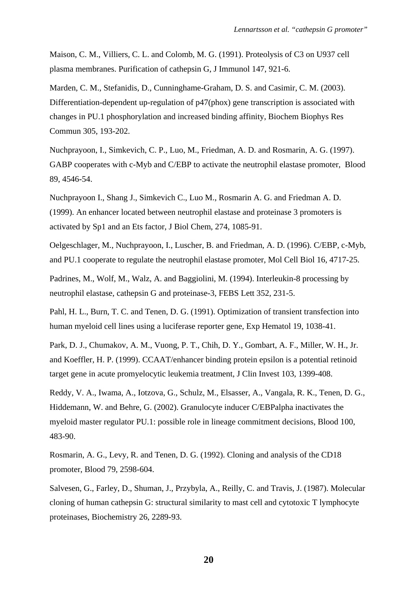Maison, C. M., Villiers, C. L. and Colomb, M. G. (1991). Proteolysis of C3 on U937 cell plasma membranes. Purification of cathepsin G, J Immunol 147, 921-6.

Marden, C. M., Stefanidis, D., Cunninghame-Graham, D. S. and Casimir, C. M. (2003). Differentiation-dependent up-regulation of p47(phox) gene transcription is associated with changes in PU.1 phosphorylation and increased binding affinity, Biochem Biophys Res Commun 305, 193-202.

Nuchprayoon, I., Simkevich, C. P., Luo, M., Friedman, A. D. and Rosmarin, A. G. (1997). GABP cooperates with c-Myb and C/EBP to activate the neutrophil elastase promoter, Blood 89, 4546-54.

Nuchprayoon I., Shang J., Simkevich C., Luo M., Rosmarin A. G. and Friedman A. D. (1999). An enhancer located between neutrophil elastase and proteinase 3 promoters is activated by Sp1 and an Ets factor, J Biol Chem, 274, 1085-91.

Oelgeschlager, M., Nuchprayoon, I., Luscher, B. and Friedman, A. D. (1996). C/EBP, c-Myb, and PU.1 cooperate to regulate the neutrophil elastase promoter, Mol Cell Biol 16, 4717-25.

Padrines, M., Wolf, M., Walz, A. and Baggiolini, M. (1994). Interleukin-8 processing by neutrophil elastase, cathepsin G and proteinase-3, FEBS Lett 352, 231-5.

Pahl, H. L., Burn, T. C. and Tenen, D. G. (1991). Optimization of transient transfection into human myeloid cell lines using a luciferase reporter gene, Exp Hematol 19, 1038-41.

Park, D. J., Chumakov, A. M., Vuong, P. T., Chih, D. Y., Gombart, A. F., Miller, W. H., Jr. and Koeffler, H. P. (1999). CCAAT/enhancer binding protein epsilon is a potential retinoid target gene in acute promyelocytic leukemia treatment, J Clin Invest 103, 1399-408.

Reddy, V. A., Iwama, A., Iotzova, G., Schulz, M., Elsasser, A., Vangala, R. K., Tenen, D. G., Hiddemann, W. and Behre, G. (2002). Granulocyte inducer C/EBPalpha inactivates the myeloid master regulator PU.1: possible role in lineage commitment decisions, Blood 100, 483-90.

Rosmarin, A. G., Levy, R. and Tenen, D. G. (1992). Cloning and analysis of the CD18 promoter, Blood 79, 2598-604.

Salvesen, G., Farley, D., Shuman, J., Przybyla, A., Reilly, C. and Travis, J. (1987). Molecular cloning of human cathepsin G: structural similarity to mast cell and cytotoxic T lymphocyte proteinases, Biochemistry 26, 2289-93.

**20**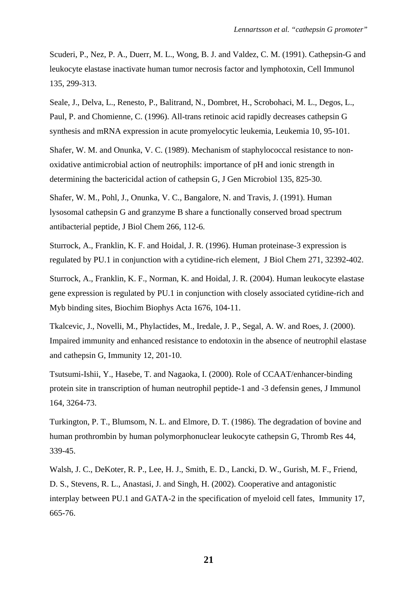Scuderi, P., Nez, P. A., Duerr, M. L., Wong, B. J. and Valdez, C. M. (1991). Cathepsin-G and leukocyte elastase inactivate human tumor necrosis factor and lymphotoxin, Cell Immunol 135, 299-313.

Seale, J., Delva, L., Renesto, P., Balitrand, N., Dombret, H., Scrobohaci, M. L., Degos, L., Paul, P. and Chomienne, C. (1996). All-trans retinoic acid rapidly decreases cathepsin G synthesis and mRNA expression in acute promyelocytic leukemia, Leukemia 10, 95-101.

Shafer, W. M. and Onunka, V. C. (1989). Mechanism of staphylococcal resistance to nonoxidative antimicrobial action of neutrophils: importance of pH and ionic strength in determining the bactericidal action of cathepsin G, J Gen Microbiol 135, 825-30.

Shafer, W. M., Pohl, J., Onunka, V. C., Bangalore, N. and Travis, J. (1991). Human lysosomal cathepsin G and granzyme B share a functionally conserved broad spectrum antibacterial peptide, J Biol Chem 266, 112-6.

Sturrock, A., Franklin, K. F. and Hoidal, J. R. (1996). Human proteinase-3 expression is regulated by PU.1 in conjunction with a cytidine-rich element, J Biol Chem 271, 32392-402.

Sturrock, A., Franklin, K. F., Norman, K. and Hoidal, J. R. (2004). Human leukocyte elastase gene expression is regulated by PU.1 in conjunction with closely associated cytidine-rich and Myb binding sites, Biochim Biophys Acta 1676, 104-11.

Tkalcevic, J., Novelli, M., Phylactides, M., Iredale, J. P., Segal, A. W. and Roes, J. (2000). Impaired immunity and enhanced resistance to endotoxin in the absence of neutrophil elastase and cathepsin G, Immunity 12, 201-10.

Tsutsumi-Ishii, Y., Hasebe, T. and Nagaoka, I. (2000). Role of CCAAT/enhancer-binding protein site in transcription of human neutrophil peptide-1 and -3 defensin genes, J Immunol 164, 3264-73.

Turkington, P. T., Blumsom, N. L. and Elmore, D. T. (1986). The degradation of bovine and human prothrombin by human polymorphonuclear leukocyte cathepsin G, Thromb Res 44, 339-45.

Walsh, J. C., DeKoter, R. P., Lee, H. J., Smith, E. D., Lancki, D. W., Gurish, M. F., Friend, D. S., Stevens, R. L., Anastasi, J. and Singh, H. (2002). Cooperative and antagonistic interplay between PU.1 and GATA-2 in the specification of myeloid cell fates, Immunity 17, 665-76.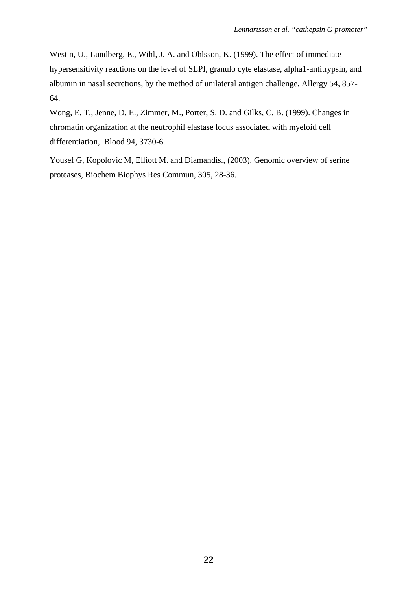Westin, U., Lundberg, E., Wihl, J. A. and Ohlsson, K. (1999). The effect of immediatehypersensitivity reactions on the level of SLPI, granulo cyte elastase, alpha1-antitrypsin, and albumin in nasal secretions, by the method of unilateral antigen challenge, Allergy 54, 857- 64.

Wong, E. T., Jenne, D. E., Zimmer, M., Porter, S. D. and Gilks, C. B. (1999). Changes in chromatin organization at the neutrophil elastase locus associated with myeloid cell differentiation, Blood 94, 3730-6.

Yousef G, Kopolovic M, Elliott M. and Diamandis., (2003). Genomic overview of serine proteases, Biochem Biophys Res Commun, 305, 28-36.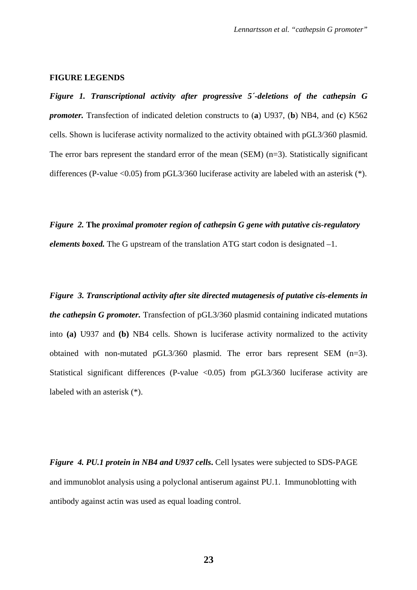#### **FIGURE LEGENDS**

*Figure 1. Transcriptional activity after progressive 5´-deletions of the cathepsin G promoter.* Transfection of indicated deletion constructs to (**a**) U937, (**b**) NB4, and (**c**) K562 cells. Shown is luciferase activity normalized to the activity obtained with pGL3/360 plasmid. The error bars represent the standard error of the mean (SEM) (n=3). Statistically significant differences (P-value <0.05) from pGL3/360 luciferase activity are labeled with an asterisk (\*).

*Figure 2.* **The** *proximal promoter region of cathepsin G gene with putative cis-regulatory elements boxed.* The G upstream of the translation ATG start codon is designated –1.

*Figure 3. Transcriptional activity after site directed mutagenesis of putative cis-elements in the cathepsin G promoter.* Transfection of pGL3/360 plasmid containing indicated mutations into **(a)** U937 and **(b)** NB4 cells. Shown is luciferase activity normalized to the activity obtained with non-mutated pGL3/360 plasmid. The error bars represent SEM (n=3). Statistical significant differences (P-value  $\langle 0.05 \rangle$  from pGL3/360 luciferase activity are labeled with an asterisk (\*).

*Figure 4. PU.1 protein in NB4 and U937 cells***.** Cell lysates were subjected to SDS-PAGE and immunoblot analysis using a polyclonal antiserum against PU.1. Immunoblotting with antibody against actin was used as equal loading control.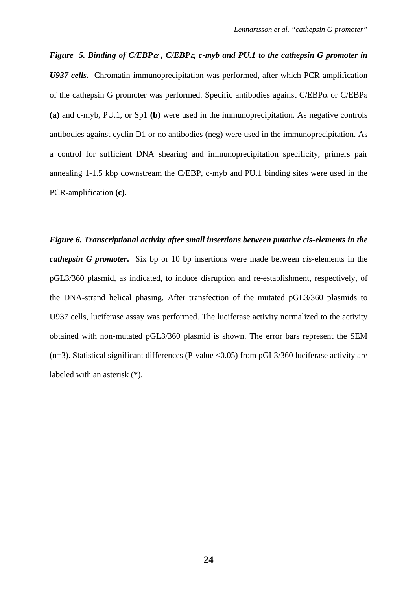*Figure 5. Binding of C/EBP*α *, C/EBP*ε*, c-myb and PU.1 to the cathepsin G promoter in U937 cells.* Chromatin immunoprecipitation was performed, after which PCR-amplification of the cathepsin G promoter was performed. Specific antibodies against  $C/EBP\alpha$  or  $C/EBP\epsilon$ **(a)** and c-myb, PU.1, or Sp1 **(b)** were used in the immunoprecipitation. As negative controls antibodies against cyclin D1 or no antibodies (neg) were used in the immunoprecipitation. As a control for sufficient DNA shearing and immunoprecipitation specificity, primers pair annealing 1-1.5 kbp downstream the C/EBP, c-myb and PU.1 binding sites were used in the PCR-amplification **(c)**.

*Figure 6. Transcriptional activity after small insertions between putative cis-elements in the cathepsin G promoter***.** Six bp or 10 bp insertions were made between *cis*-elements in the pGL3/360 plasmid, as indicated, to induce disruption and re-establishment, respectively, of the DNA-strand helical phasing. After transfection of the mutated pGL3/360 plasmids to U937 cells, luciferase assay was performed. The luciferase activity normalized to the activity obtained with non-mutated pGL3/360 plasmid is shown. The error bars represent the SEM  $(n=3)$ . Statistical significant differences (P-value <0.05) from pGL3/360 luciferase activity are labeled with an asterisk (\*).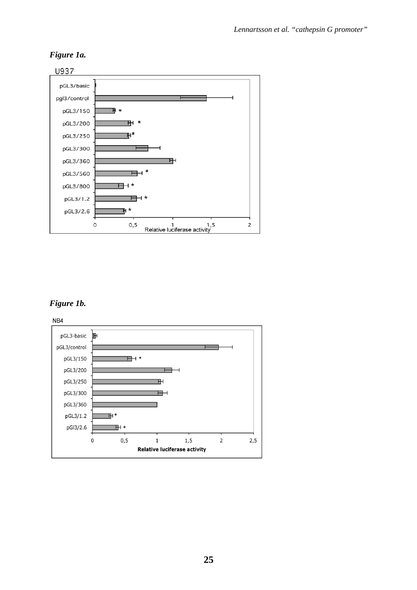## *Figure 1a.*



## *Figure 1b.*

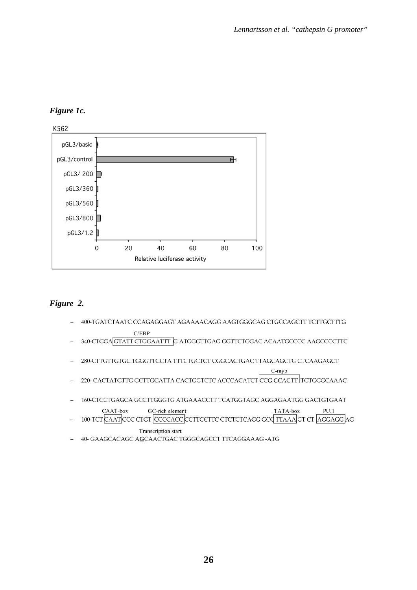## *Figure 1c.*



## *Figure 2.*

- 400-TGATCTAATC CCAGAGGAGT AGAAAACAGG AAGTGGGCAG CTGCCAGCTT TCTTGCTTTG  $C/EBP$
- 340-CTGGA GTATT CTGGAATTT G ATGGGTTGAG GGTTCTGGAC ACAATGCCCC AAGCCCCTTC
- 280-CITGTTGTGC TGGGTTCCTA TTTCTGCTCT CGGCACTGAC TTAGCAGCTG CTCAAGAGCT

C-myb

- 220- CACTATGTTG GCTTGGATTA CACTGGTCTC ACCCACATCTCCG GCAGTT TGTGGGCAAAC
- 160-CTCCTGAGCA GCCTTGGGTG ATGAAACCTT TCATGGTAGC AGGAGAATGG GACTGTGAAT

TATA-box CAAT-box GC-rich element  $PU.1$ 

- 100-TCT CAAT CCC CTGT CCCCACC CCTTCCTTC CTCTCTCAGG GCQ TTAAA GT CT AGGAGG AG **Transcription start**
- 40- GAAGCACAGC AGCAACTGAC TGGGCAGCCT TTCAGGAAAG-ATG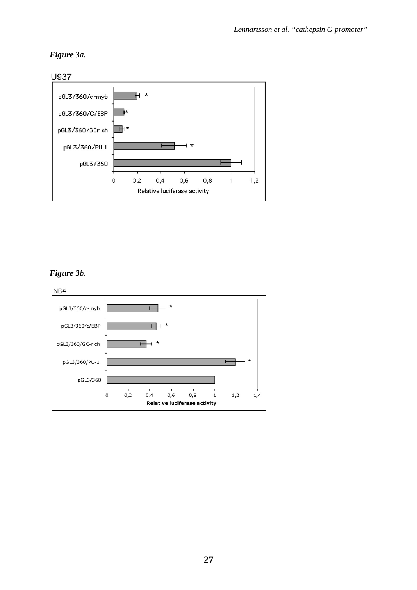## *Figure 3a.*



## *Figure 3b.*

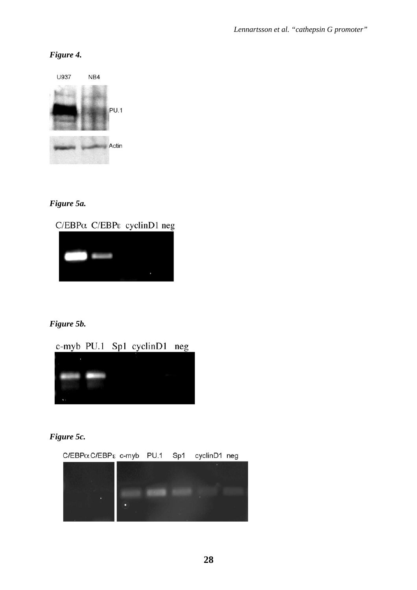## *Figure 4.*



## *Figure 5a.*

 $C/EBP\alpha$  C/EBP<sub>ε</sub> cyclinD1 neg



## *Figure 5b.*

## c-myb PU.1 Sp1 cyclinD1 neg



## *Figure 5c.*

 $C/EBP\alpha C/EBP\epsilon$  c-myb PU.1 Sp1 cyclinD1 neg